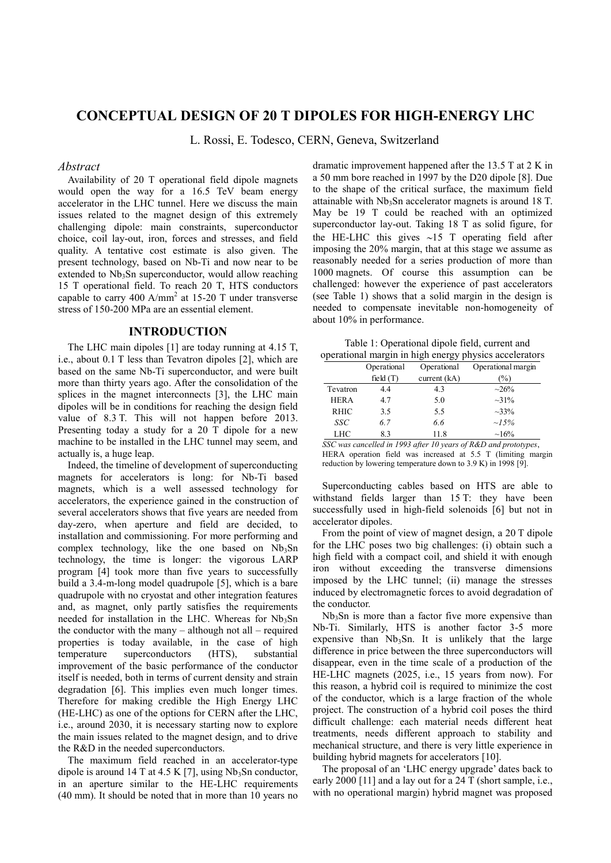# **CONCEPTUAL DESIGN OF 20 T DIPOLES FOR HIGH-ENERGY LHC**

L. Rossi, E. Todesco, CERN, Geneva, Switzerland

### *Abstract*

Availability of 20 T operational field dipole magnets would open the way for a 16.5 TeV beam energy accelerator in the LHC tunnel. Here we discuss the main issues related to the magnet design of this extremely challenging dipole: main constraints, superconductor choice, coil lay-out, iron, forces and stresses, and field quality. A tentative cost estimate is also given. The present technology, based on Nb-Ti and now near to be extended to  $Nb<sub>3</sub>Sn$  superconductor, would allow reaching 15 T operational field. To reach 20 T, HTS conductors capable to carry 400  $A/mm^2$  at 15-20 T under transverse stress of 150-200 MPa are an essential element.

### **INTRODUCTION**

The LHC main dipoles [1] are today running at 4.15 T, i.e., about 0.1 T less than Tevatron dipoles [2], which are based on the same Nb-Ti superconductor, and were built more than thirty years ago. After the consolidation of the splices in the magnet interconnects [3], the LHC main dipoles will be in conditions for reaching the design field value of 8.3 T. This will not happen before 2013. Presenting today a study for a 20 T dipole for a new machine to be installed in the LHC tunnel may seem, and actually is, a huge leap.

Indeed, the timeline of development of superconducting magnets for accelerators is long: for Nb-Ti based magnets, which is a well assessed technology for accelerators, the experience gained in the construction of several accelerators shows that five years are needed from day-zero, when aperture and field are decided, to installation and commissioning. For more performing and complex technology, like the one based on  $Nb<sub>3</sub>Sn$ technology, the time is longer: the vigorous LARP program [4] took more than five years to successfully build a 3.4-m-long model quadrupole [5], which is a bare quadrupole with no cryostat and other integration features and, as magnet, only partly satisfies the requirements needed for installation in the LHC. Whereas for  $Nb<sub>3</sub>Sn$ the conductor with the many – although not all – required properties is today available, in the case of high temperature superconductors (HTS), substantial improvement of the basic performance of the conductor itself is needed, both in terms of current density and strain degradation [6]. This implies even much longer times. Therefore for making credible the High Energy LHC (HE-LHC) as one of the options for CERN after the LHC, i.e., around 2030, it is necessary starting now to explore the main issues related to the magnet design, and to drive the R&D in the needed superconductors.

The maximum field reached in an accelerator-type dipole is around 14 T at 4.5 K [7], using  $Nb<sub>3</sub>Sn$  conductor, in an aperture similar to the HE-LHC requirements (40 mm). It should be noted that in more than 10 years no dramatic improvement happened after the 13.5 T at 2 K in a 50 mm bore reached in 1997 by the D20 dipole [8]. Due to the shape of the critical surface, the maximum field attainable with  $Nb<sub>3</sub>Sn$  accelerator magnets is around 18 T. May be 19 T could be reached with an optimized superconductor lay-out. Taking 18 T as solid figure, for the HE-LHC this gives  $\sim$ 15 T operating field after imposing the 20% margin, that at this stage we assume as reasonably needed for a series production of more than 1000 magnets. Of course this assumption can be challenged: however the experience of past accelerators (see Table 1) shows that a solid margin in the design is needed to compensate inevitable non-homogeneity of about 10% in performance.

Table 1: Operational dipole field, current and operational margin in high energy physics accelerators

| $p$ $p$ crational margin in migh chergy $p$ nysics accelerator. |             |                |                    |  |  |
|-----------------------------------------------------------------|-------------|----------------|--------------------|--|--|
|                                                                 | Operational | Operational    | Operational margin |  |  |
|                                                                 | field $(T)$ | current $(kA)$ | $(\%)$             |  |  |
| Tevatron                                                        | 4.4         | 4.3            | $\sim 26\%$        |  |  |
| <b>HERA</b>                                                     | 4.7         | 5.0            | $\sim 31\%$        |  |  |
| <b>RHIC</b>                                                     | 3.5         | 5.5            | $\sim 33\%$        |  |  |
| SSC                                                             | 6.7         | 6.6            | $\sim 15\%$        |  |  |
| LHC                                                             | 8.3         | 11.8           | $~16\%$            |  |  |

*SSC was cancelled in 1993 after 10 years of R&D and prototypes*, HERA operation field was increased at 5.5 T (limiting margin reduction by lowering temperature down to 3.9 K) in 1998 [9].

Superconducting cables based on HTS are able to withstand fields larger than 15 T: they have been successfully used in high-field solenoids [6] but not in accelerator dipoles.

From the point of view of magnet design, a 20 T dipole for the LHC poses two big challenges: (i) obtain such a high field with a compact coil, and shield it with enough iron without exceeding the transverse dimensions imposed by the LHC tunnel; (ii) manage the stresses induced by electromagnetic forces to avoid degradation of the conductor.

 $Nb<sub>3</sub>Sn$  is more than a factor five more expensive than Nb-Ti. Similarly, HTS is another factor 3-5 more expensive than  $Nb<sub>3</sub>Sn$ . It is unlikely that the large difference in price between the three superconductors will disappear, even in the time scale of a production of the HE-LHC magnets (2025, i.e., 15 years from now). For this reason, a hybrid coil is required to minimize the cost of the conductor, which is a large fraction of the whole project. The construction of a hybrid coil poses the third difficult challenge: each material needs different heat treatments, needs different approach to stability and mechanical structure, and there is very little experience in building hybrid magnets for accelerators [10]. Operational Operational Corational magin<br>
Tevatron 44 43 -20%<br>
HERA 17 5.0 -31%<br>
HERA 17 5.0 -31%<br>
SEC 6.7 66 -15%<br>
SEC 6.7 66 -15%<br>
SEC 6.7 66 -15%<br>
SEC 6.7 66 -15%<br>
SEC 6.8 concelled in 1993 after 10 years of R&D and pr

The proposal of an 'LHC energy upgrade' dates back to early 2000 [11] and a lay out for a 24 T (short sample, i.e.,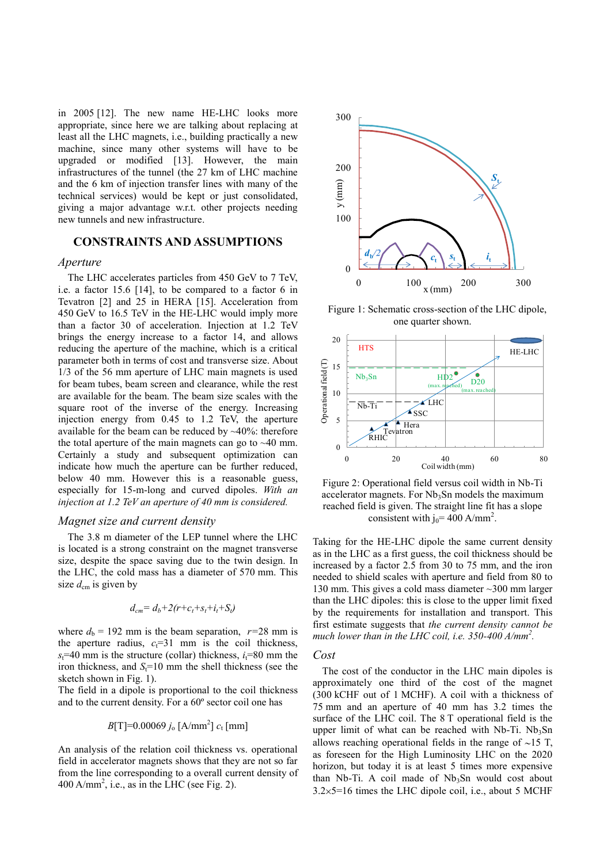in 2005 [12]. The new name HE-LHC looks more appropriate, since here we are talking about replacing at least all the LHC magnets, i.e., building practically a new machine, since many other systems will have to be upgraded or modified [13]. However, the main infrastructures of the tunnel (the 27 km of LHC machine and the 6 km of injection transfer lines with many of the technical services) would be kept or just consolidated, giving a major advantage w.r.t. other projects needing new tunnels and new infrastructure.

# **CONSTRAINTS AND ASSUMPTIONS**

### *Aperture*

The LHC accelerates particles from 450 GeV to 7 TeV, i.e. a factor 15.6 [14], to be compared to a factor 6 in Tevatron [2] and 25 in HERA [15]. Acceleration from 450 GeV to 16.5 TeV in the HE-LHC would imply more than a factor 30 of acceleration. Injection at 1.2 TeV brings the energy increase to a factor 14, and allows reducing the aperture of the machine, which is a critical parameter both in terms of cost and transverse size. About 1/3 of the 56 mm aperture of LHC main magnets is used for beam tubes, beam screen and clearance, while the rest are available for the beam. The beam size scales with the square root of the inverse of the energy. Increasing injection energy from 0.45 to 1.2 TeV, the aperture available for the beam can be reduced by ~40%: therefore the total aperture of the main magnets can go to  $\sim$ 40 mm. Certainly a study and subsequent optimization can indicate how much the aperture can be further reduced, below 40 mm. However this is a reasonable guess, especially for 15-m-long and curved dipoles. *With an injection at 1.2 TeV an aperture of 40 mm is considered.*

## *Magnet size and current density*

The 3.8 m diameter of the LEP tunnel where the LHC is located is a strong constraint on the magnet transverse size, despite the space saving due to the twin design. In the LHC, the cold mass has a diameter of 570 mm. This size  $d_{\text{cm}}$  is given by

$$
d_{cm} = d_b + 2(r + c_t + s_t + i_t + S_t)
$$

where  $d_b = 192$  mm is the beam separation,  $r=28$  mm is the aperture radius,  $c_t$ =31 mm is the coil thickness,  $s_t$ =40 mm is the structure (collar) thickness,  $i_t$ =80 mm the iron thickness, and  $S_t$ =10 mm the shell thickness (see the sketch shown in Fig. 1).

The field in a dipole is proportional to the coil thickness and to the current density. For a 60º sector coil one has

$$
B[T]=0.00069 j_0 [A/mm^2] c_t [mm]
$$

An analysis of the relation coil thickness vs. operational field in accelerator magnets shows that they are not so far from the line corresponding to a overall current density of  $400$  A/mm<sup>2</sup>, i.e., as in the LHC (see Fig. 2).



Figure 1: Schematic cross-section of the LHC dipole, one quarter shown.



Figure 2: Operational field versus coil width in Nb-Ti accelerator magnets. For  $Nb<sub>3</sub>Sn$  models the maximum reached field is given. The straight line fit has a slope consistent with  $j_0$  = 400 A/mm<sup>2</sup>.

Taking for the HE-LHC dipole the same current density as in the LHC as a first guess, the coil thickness should be increased by a factor 2.5 from 30 to 75 mm, and the iron needed to shield scales with aperture and field from 80 to 130 mm. This gives a cold mass diameter ~300 mm larger than the LHC dipoles: this is close to the upper limit fixed by the requirements for installation and transport. This first estimate suggests that *the current density cannot be much lower than in the LHC coil, i.e. 350-400 A/mm<sup>2</sup> .*

#### *Cost*

The cost of the conductor in the LHC main dipoles is approximately one third of the cost of the magnet (300 kCHF out of 1 MCHF). A coil with a thickness of 75 mm and an aperture of 40 mm has 3.2 times the surface of the LHC coil. The 8 T operational field is the upper limit of what can be reached with Nb-Ti.  $Nb<sub>3</sub>Sn$ allows reaching operational fields in the range of  $\sim$ 15 T, as foreseen for the High Luminosity LHC on the 2020 horizon, but today it is at least 5 times more expensive than Nb-Ti. A coil made of  $Nb<sub>3</sub>Sn$  would cost about  $3.2 \times 5 = 16$  times the LHC dipole coil, i.e., about 5 MCHF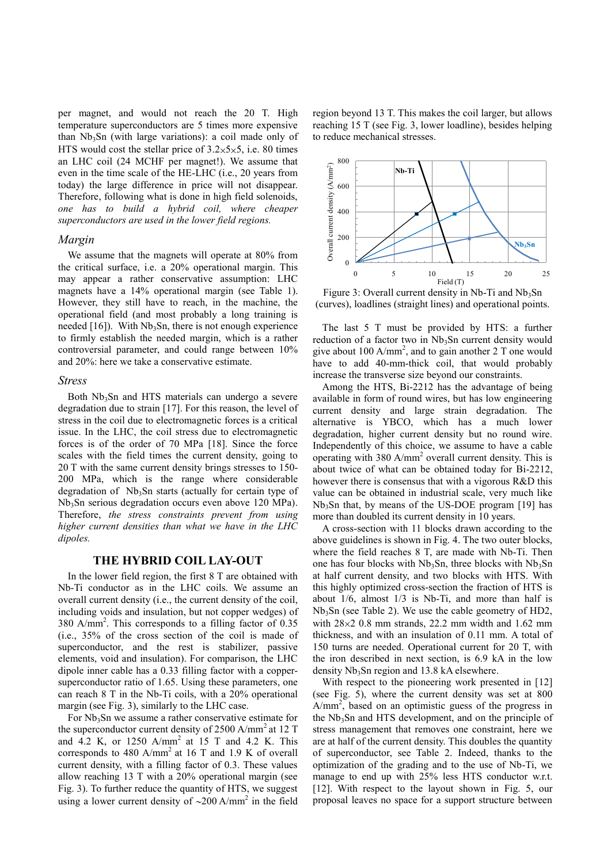per magnet, and would not reach the 20 T. High temperature superconductors are 5 times more expensive than  $Nb<sub>3</sub>Sn$  (with large variations): a coil made only of HTS would cost the stellar price of  $3.2 \times 5 \times 5$ , i.e. 80 times an LHC coil (24 MCHF per magnet!). We assume that even in the time scale of the HE-LHC (i.e., 20 years from today) the large difference in price will not disappear. Therefore, following what is done in high field solenoids, *one has to build a hybrid coil, where cheaper superconductors are used in the lower field regions.*

### *Margin*

We assume that the magnets will operate at 80% from the critical surface, i.e. a 20% operational margin. This may appear a rather conservative assumption: LHC magnets have a 14% operational margin (see Table 1). However, they still have to reach, in the machine, the operational field (and most probably a long training is needed  $[16]$ ). With Nb<sub>3</sub>Sn, there is not enough experience to firmly establish the needed margin, which is a rather controversial parameter, and could range between 10% and 20%: here we take a conservative estimate.

#### *Stress*

Both  $Nb<sub>3</sub>Sn$  and HTS materials can undergo a severe degradation due to strain [17]. For this reason, the level of stress in the coil due to electromagnetic forces is a critical issue. In the LHC, the coil stress due to electromagnetic forces is of the order of 70 MPa [18]. Since the force scales with the field times the current density, going to 20 T with the same current density brings stresses to 150- 200 MPa, which is the range where considerable degradation of  $Nb<sub>3</sub>Sn$  starts (actually for certain type of Nb3Sn serious degradation occurs even above 120 MPa). Therefore, *the stress constraints prevent from using higher current densities than what we have in the LHC dipoles.*

### **THE HYBRID COIL LAY-OUT**

In the lower field region, the first 8 T are obtained with Nb-Ti conductor as in the LHC coils. We assume an overall current density (i.e., the current density of the coil, including voids and insulation, but not copper wedges) of 380 A/mm<sup>2</sup> . This corresponds to a filling factor of 0.35 (i.e., 35% of the cross section of the coil is made of superconductor, and the rest is stabilizer, passive elements, void and insulation). For comparison, the LHC dipole inner cable has a 0.33 filling factor with a coppersuperconductor ratio of 1.65. Using these parameters, one can reach 8 T in the Nb-Ti coils, with a 20% operational margin (see Fig. 3), similarly to the LHC case.

For Nb<sub>3</sub>Sn we assume a rather conservative estimate for the superconductor current density of  $2500$  A/mm<sup>2</sup> at 12 T and 4.2 K, or 1250 A/mm<sup>2</sup> at 15 T and 4.2 K. This corresponds to 480  $A/mm^2$  at 16 T and 1.9 K of overall current density, with a filling factor of 0.3. These values allow reaching 13 T with a 20% operational margin (see Fig. 3). To further reduce the quantity of HTS, we suggest using a lower current density of  $\sim$ 200 A/mm<sup>2</sup> in the field

region beyond 13 T. This makes the coil larger, but allows reaching 15 T (see Fig. 3, lower loadline), besides helping to reduce mechanical stresses.



Figure 3: Overall current density in Nb-Ti and  $Nb<sub>3</sub>Sn$ (curves), loadlines (straight lines) and operational points.

The last 5 T must be provided by HTS: a further reduction of a factor two in Nb<sub>3</sub>Sn current density would give about 100 A/mm<sup>2</sup>, and to gain another 2 T one would have to add 40-mm-thick coil, that would probably increase the transverse size beyond our constraints.

Among the HTS, Bi-2212 has the advantage of being available in form of round wires, but has low engineering current density and large strain degradation. The alternative is YBCO, which has a much lower degradation, higher current density but no round wire. Independently of this choice, we assume to have a cable operating with 380 A/mm<sup>2</sup> overall current density. This is about twice of what can be obtained today for Bi-2212, however there is consensus that with a vigorous R&D this value can be obtained in industrial scale, very much like  $Nb<sub>3</sub>Sn$  that, by means of the US-DOE program [19] has more than doubled its current density in 10 years.

A cross-section with 11 blocks drawn according to the above guidelines is shown in Fig. 4. The two outer blocks, where the field reaches 8 T, are made with Nb-Ti. Then one has four blocks with  $Nb<sub>3</sub>Sn$ , three blocks with  $Nb<sub>3</sub>Sn$ at half current density, and two blocks with HTS. With this highly optimized cross-section the fraction of HTS is about 1/6, almost 1/3 is Nb-Ti, and more than half is  $Nb<sub>3</sub>Sn$  (see Table 2). We use the cable geometry of HD2, with  $28 \times 2$  0.8 mm strands, 22.2 mm width and 1.62 mm thickness, and with an insulation of 0.11 mm. A total of 150 turns are needed. Operational current for 20 T, with the iron described in next section, is 6.9 kA in the low density  $Nb<sub>3</sub>Sn$  region and 13.8 kA elsewhere.

With respect to the pioneering work presented in [12] (see Fig. 5), where the current density was set at 800  $A/mm<sup>2</sup>$ , based on an optimistic guess of the progress in the Nb<sub>3</sub>Sn and HTS development, and on the principle of stress management that removes one constraint, here we are at half of the current density. This doubles the quantity of superconductor, see Table 2. Indeed, thanks to the optimization of the grading and to the use of Nb-Ti, we manage to end up with 25% less HTS conductor w.r.t. [12]. With respect to the layout shown in Fig. 5, our proposal leaves no space for a support structure between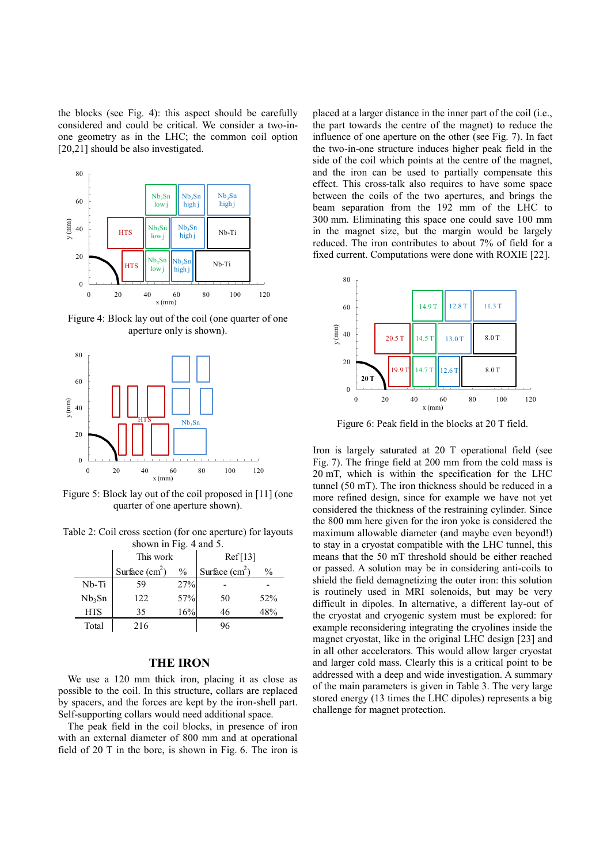the blocks (see Fig. 4): this aspect should be carefully considered and could be critical. We consider a two-inone geometry as in the LHC; the common coil option [20,21] should be also investigated.



Figure 4: Block lay out of the coil (one quarter of one aperture only is shown).



Figure 5: Block lay out of the coil proposed in [11] (one quarter of one aperture shown).

Table 2: Coil cross section (for one aperture) for layouts shown in Fig. 4 and 5.

|                    | This work       |               | Ref[13]         |               |
|--------------------|-----------------|---------------|-----------------|---------------|
|                    | Surface $(cm2)$ | $\frac{0}{0}$ | Surface $(cm2)$ | $\frac{0}{0}$ |
| Nb-Ti              | 59              | 27%           |                 |               |
| Nb <sub>3</sub> Sn | 122             | 57%           | 50              | 52%           |
| <b>HTS</b>         | 35              | 16%           | 46              | 48%           |
| Total              | 216             |               | 96              |               |

### **THE IRON**

We use a 120 mm thick iron, placing it as close as possible to the coil. In this structure, collars are replaced by spacers, and the forces are kept by the iron-shell part. Self-supporting collars would need additional space.

The peak field in the coil blocks, in presence of iron with an external diameter of 800 mm and at operational field of 20 T in the bore, is shown in Fig. 6. The iron is

placed at a larger distance in the inner part of the coil (i.e., the part towards the centre of the magnet) to reduce the influence of one aperture on the other (see Fig. 7). In fact the two-in-one structure induces higher peak field in the side of the coil which points at the centre of the magnet, and the iron can be used to partially compensate this effect. This cross-talk also requires to have some space between the coils of the two apertures, and brings the beam separation from the 192 mm of the LHC to 300 mm. Eliminating this space one could save 100 mm in the magnet size, but the margin would be largely reduced. The iron contributes to about 7% of field for a fixed current. Computations were done with ROXIE [22].



Figure 6: Peak field in the blocks at 20 T field.

Iron is largely saturated at 20 T operational field (see Fig. 7). The fringe field at 200 mm from the cold mass is 20 mT, which is within the specification for the LHC tunnel (50 mT). The iron thickness should be reduced in a more refined design, since for example we have not yet considered the thickness of the restraining cylinder. Since the 800 mm here given for the iron yoke is considered the maximum allowable diameter (and maybe even beyond!) to stay in a cryostat compatible with the LHC tunnel, this means that the 50 mT threshold should be either reached or passed. A solution may be in considering anti-coils to shield the field demagnetizing the outer iron: this solution is routinely used in MRI solenoids, but may be very difficult in dipoles. In alternative, a different lay-out of the cryostat and cryogenic system must be explored: for example reconsidering integrating the cryolines inside the magnet cryostat, like in the original LHC design [23] and in all other accelerators. This would allow larger cryostat and larger cold mass. Clearly this is a critical point to be addressed with a deep and wide investigation. A summary of the main parameters is given in Table 3. The very large stored energy (13 times the LHC dipoles) represents a big challenge for magnet protection.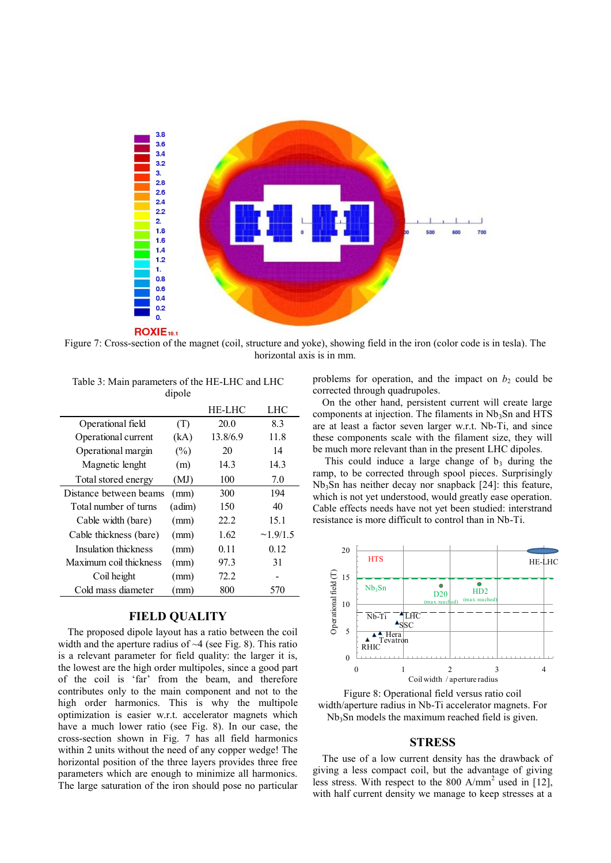

Figure 7: Cross-section of the magnet (coil, structure and yoke), showing field in the iron (color code is in tesla). The horizontal axis is in mm.

|                        |              | HE-LHC   | LHC            |
|------------------------|--------------|----------|----------------|
| Operational field      | (T)          | 20.0     | 8.3            |
| Operational current    | (kA)         | 13.8/6.9 | 11.8           |
| Operational margin     | $(\%)$       | 20       | 14             |
| Magnetic lenght        | (m)          | 14.3     | 14.3           |
| Total stored energy    | (MJ)         | 100      | 7.0            |
| Distance between beams | (mm)         | 300      | 194            |
| Total number of turns  | $($ adim $)$ | 150      | 40             |
| Cable width (bare)     | (mm)         | 22.2     | 15.1           |
| Cable thickness (bare) | (mm)         | 1.62     | $\sim$ 1.9/1.5 |
| Insulation thickness   | (mm)         | 0.11     | 0.12           |
| Maximum coil thickness | (mm)         | 97.3     | 31             |
| Coil height            | (mm)         | 72.2     |                |
| Cold mass diameter     | (mm)         | 800      | 570            |
|                        |              |          |                |

Table 3: Main parameters of the HE-LHC and LHC dipole

## **FIELD QUALITY**

The proposed dipole layout has a ratio between the coil width and the aperture radius of  $\sim$ 4 (see Fig. 8). This ratio is a relevant parameter for field quality: the larger it is, the lowest are the high order multipoles, since a good part of the coil is 'far' from the beam, and therefore contributes only to the main component and not to the high order harmonics. This is why the multipole optimization is easier w.r.t. accelerator magnets which have a much lower ratio (see Fig. 8). In our case, the cross-section shown in Fig. 7 has all field harmonics within 2 units without the need of any copper wedge! The horizontal position of the three layers provides three free parameters which are enough to minimize all harmonics. The large saturation of the iron should pose no particular

problems for operation, and the impact on  $b_2$  could be corrected through quadrupoles.

On the other hand, persistent current will create large components at injection. The filaments in  $Nb<sub>3</sub>Sn$  and HTS are at least a factor seven larger w.r.t. Nb-Ti, and since these components scale with the filament size, they will be much more relevant than in the present LHC dipoles.

This could induce a large change of  $b_3$  during the ramp, to be corrected through spool pieces. Surprisingly Nb3Sn has neither decay nor snapback [24]: this feature, which is not yet understood, would greatly ease operation. Cable effects needs have not yet been studied: interstrand resistance is more difficult to control than in Nb-Ti.



Figure 8: Operational field versus ratio coil width/aperture radius in Nb-Ti accelerator magnets. For Nb<sub>3</sub>Sn models the maximum reached field is given.

#### **STRESS**

The use of a low current density has the drawback of giving a less compact coil, but the advantage of giving less stress. With respect to the 800 A/mm<sup>2</sup> used in [12],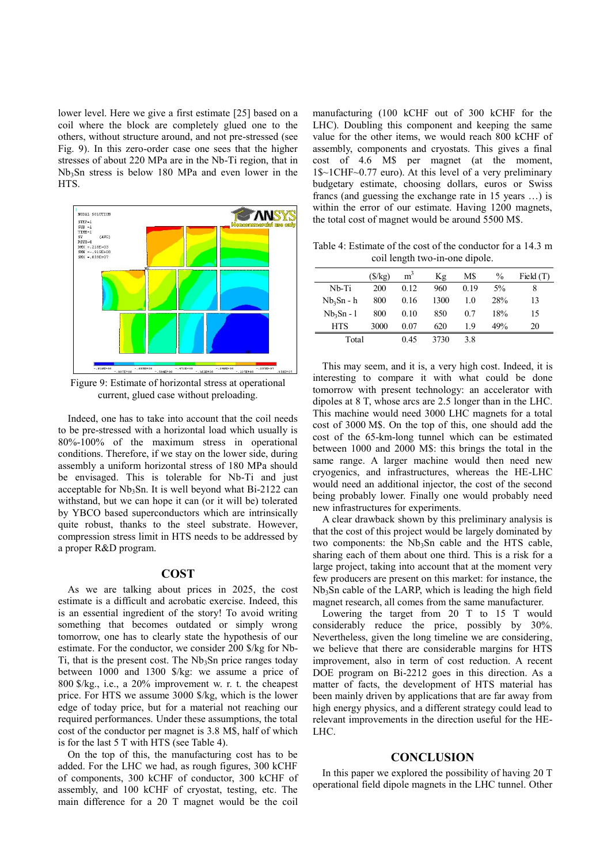lower level. Here we give a first estimate [25] based on a coil where the block are completely glued one to the others, without structure around, and not pre-stressed (see Fig. 9). In this zero-order case one sees that the higher stresses of about 220 MPa are in the Nb-Ti region, that in Nb<sub>3</sub>Sn stress is below 180 MPa and even lower in the HTS.



Figure 9: Estimate of horizontal stress at operational current, glued case without preloading.

Indeed, one has to take into account that the coil needs to be pre-stressed with a horizontal load which usually is 80%-100% of the maximum stress in operational conditions. Therefore, if we stay on the lower side, during assembly a uniform horizontal stress of 180 MPa should be envisaged. This is tolerable for Nb-Ti and just acceptable for  $Nb<sub>3</sub>Sn$ . It is well beyond what Bi-2122 can withstand, but we can hope it can (or it will be) tolerated by YBCO based superconductors which are intrinsically quite robust, thanks to the steel substrate. However, compression stress limit in HTS needs to be addressed by a proper R&D program.

#### **COST**

As we are talking about prices in 2025, the cost estimate is a difficult and acrobatic exercise. Indeed, this is an essential ingredient of the story! To avoid writing something that becomes outdated or simply wrong tomorrow, one has to clearly state the hypothesis of our estimate. For the conductor, we consider 200 \$/kg for Nb-Ti, that is the present cost. The  $Nb<sub>3</sub>Sn$  price ranges today between 1000 and 1300 \$/kg: we assume a price of 800 \$/kg., i.e., a 20% improvement w. r. t. the cheapest price. For HTS we assume 3000 \$/kg, which is the lower edge of today price, but for a material not reaching our required performances. Under these assumptions, the total cost of the conductor per magnet is 3.8 M\$, half of which is for the last 5 T with HTS (see Table 4).

On the top of this, the manufacturing cost has to be added. For the LHC we had, as rough figures, 300 kCHF of components, 300 kCHF of conductor, 300 kCHF of assembly, and 100 kCHF of cryostat, testing, etc. The main difference for a 20 T magnet would be the coil

manufacturing (100 kCHF out of 300 kCHF for the LHC). Doubling this component and keeping the same value for the other items, we would reach 800 kCHF of assembly, components and cryostats. This gives a final cost of 4.6 M\$ per magnet (at the moment, 1\$~1CHF~0.77 euro). At this level of a very preliminary budgetary estimate, choosing dollars, euros or Swiss francs (and guessing the exchange rate in 15 years …) is within the error of our estimate. Having 1200 magnets, the total cost of magnet would be around 5500 M\$.

Table 4: Estimate of the cost of the conductor for a 14.3 m coil length two-in-one dipole.

|            | (S/kg) | m <sup>3</sup> | Kg   | M\$  | $\frac{0}{0}$ | Field $(T)$ |
|------------|--------|----------------|------|------|---------------|-------------|
| Nb-Ti      | 200    | 0.12           | 960  | 0.19 | $5\%$         | 8           |
| Nb3Sn - h  | 800    | 0.16           | 1300 | 10   | <b>28%</b>    | 13          |
| $Nb3Sn-1$  | 800    | 0.10           | 850  | 0.7  | 18%           | 15          |
| <b>HTS</b> | 3000   | 0.07           | 620  | 19   | 49%           | 20          |
| Total      |        | 0.45           | 3730 | 3.8  |               |             |

This may seem, and it is, a very high cost. Indeed, it is interesting to compare it with what could be done tomorrow with present technology: an accelerator with dipoles at 8 T, whose arcs are 2.5 longer than in the LHC. This machine would need 3000 LHC magnets for a total cost of 3000 M\$. On the top of this, one should add the cost of the 65-km-long tunnel which can be estimated between 1000 and 2000 M\$: this brings the total in the same range. A larger machine would then need new cryogenics, and infrastructures, whereas the HE-LHC would need an additional injector, the cost of the second being probably lower. Finally one would probably need new infrastructures for experiments.

A clear drawback shown by this preliminary analysis is that the cost of this project would be largely dominated by two components: the  $Nb<sub>3</sub>Sn$  cable and the HTS cable, sharing each of them about one third. This is a risk for a large project, taking into account that at the moment very few producers are present on this market: for instance, the  $Nb<sub>3</sub>Sn$  cable of the LARP, which is leading the high field magnet research, all comes from the same manufacturer.

Lowering the target from 20 T to 15 T would considerably reduce the price, possibly by 30%. Nevertheless, given the long timeline we are considering, we believe that there are considerable margins for HTS improvement, also in term of cost reduction. A recent DOE program on Bi-2212 goes in this direction. As a matter of facts, the development of HTS material has been mainly driven by applications that are far away from high energy physics, and a different strategy could lead to relevant improvements in the direction useful for the HE-LHC.

#### **CONCLUSION**

In this paper we explored the possibility of having 20 T operational field dipole magnets in the LHC tunnel. Other